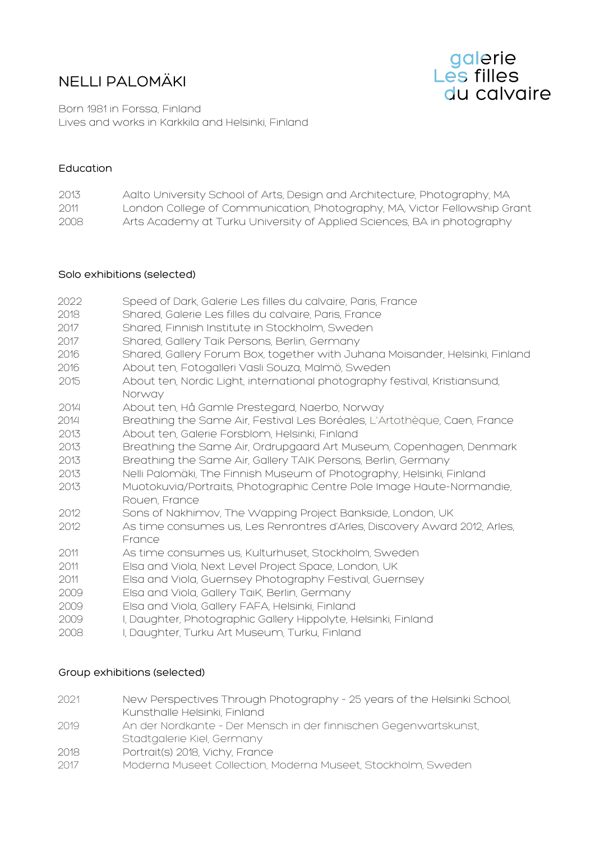# NELLI PALOMÄKI



Born 1981 in Forssa, Finland Lives and works in Karkkila and Helsinki, Finland

## Education

| 2013 | Aalto University School of Arts, Design and Architecture, Photography, MA |
|------|---------------------------------------------------------------------------|
| 2011 | London College of Communication, Photography, MA, Victor Fellowship Grant |
| 2008 | Arts Academy at Turku University of Applied Sciences, BA in photography   |

## Solo exhibitions (selected)

| 2022 | Speed of Dark, Galerie Les filles du calvaire, Paris, France                         |
|------|--------------------------------------------------------------------------------------|
| 2018 | Shared, Galerie Les filles du calvaire, Paris, France                                |
| 2017 | Shared, Finnish Institute in Stockholm, Sweden                                       |
| 2017 | Shared, Gallery Taik Persons, Berlin, Germany                                        |
| 2016 | Shared, Gallery Forum Box, together with Juhana Moisander, Helsinki, Finland         |
| 2016 | About ten, Fotogalleri Vasli Souza, Malmö, Sweden                                    |
| 2015 | About ten, Nordic Light, international photography festival, Kristiansund,<br>Norway |
| 2014 | About ten, Hå Gamle Prestegard, Naerbo, Norway                                       |
| 2014 | Breathing the Same Air, Festival Les Boréales, L'Artothèque, Caen, France            |
| 2013 | About ten, Galerie Forsblom, Helsinki, Finland                                       |
| 2013 | Breathing the Same Air, Ordrupgaard Art Museum, Copenhagen, Denmark                  |
| 2013 | Breathing the Same Air, Gallery TAIK Persons, Berlin, Germany                        |
| 2013 | Nelli Palomäki, The Finnish Museum of Photography, Helsinki, Finland                 |
| 2013 | Muotokuvia/Portraits, Photographic Centre Pole Image Haute-Normandie,                |
|      | Rouen, France                                                                        |
| 2012 | Sons of Nakhimov, The Wapping Project Bankside, London, UK                           |
| 2012 | As time consumes us, Les Renrontres d'Arles, Discovery Award 2012, Arles,<br>France  |
| 2011 | As time consumes us, Kulturhuset, Stockholm, Sweden                                  |
| 2011 | Elsa and Viola, Next Level Project Space, London, UK                                 |
| 2011 | Elsa and Viola, Guernsey Photography Festival, Guernsey                              |
| 2009 | Elsa and Viola, Gallery TaiK, Berlin, Germany                                        |
| 2009 | Elsa and Viola, Gallery FAFA, Helsinki, Finland                                      |
| 2009 | I, Daughter, Photographic Gallery Hippolyte, Helsinki, Finland                       |
| 2008 | I, Daughter, Turku Art Museum, Turku, Finland                                        |

## Group exhibitions (selected)

| 2021                | New Perspectives Through Photography - 25 years of the Helsinki School,        |
|---------------------|--------------------------------------------------------------------------------|
|                     | Kunsthalle Helsinki, Finland                                                   |
| 2019                | An der Nordkante - Der Mensch in der finnischen Gegenwartskunst,               |
|                     | Stadtgalerie Kiel, Germany                                                     |
| 2018                | Portrait(s) 2018, Vichy, France                                                |
| $\bigcap$ $\bigcap$ | Marchanter Marchael Octobrill and Marchanter Marchael Old altha Las Octobrilla |

2017 Moderna Museet Collection, Moderna Museet, Stockholm, Sweden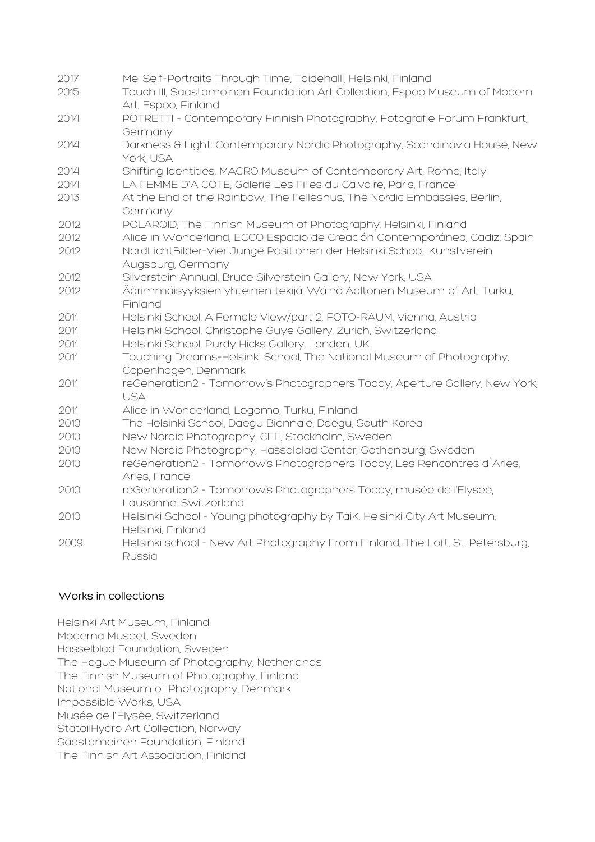| 2017 | Me: Self-Portraits Through Time, Taidehalli, Helsinki, Finland                              |
|------|---------------------------------------------------------------------------------------------|
| 2015 | Touch III, Saastamoinen Foundation Art Collection, Espoo Museum of Modern                   |
|      | Art, Espoo, Finland                                                                         |
| 2014 | POTRETTI - Contemporary Finnish Photography, Fotografie Forum Frankfurt,                    |
|      | Germany                                                                                     |
| 2014 | Darkness & Light: Contemporary Nordic Photography, Scandinavia House, New                   |
|      | York, USA                                                                                   |
| 2014 | Shifting Identities, MACRO Museum of Contemporary Art, Rome, Italy                          |
| 2014 | LA FEMME D'A COTE, Galerie Les Filles du Calvaire, Paris, France                            |
| 2013 | At the End of the Rainbow, The Felleshus, The Nordic Embassies, Berlin,                     |
|      | Germany                                                                                     |
| 2012 | POLAROID, The Finnish Museum of Photography, Helsinki, Finland                              |
| 2012 | Alice in Wonderland, ECCO Espacio de Creación Contemporánea, Cadiz, Spain                   |
| 2012 | NordLichtBilder-Vier Junge Positionen der Helsinki School, Kunstverein<br>Augsburg, Germany |
| 2012 | Silverstein Annual, Bruce Silverstein Gallery, New York, USA                                |
| 2012 | Äärimmäisyyksien yhteinen tekijä, Wäinö Aaltonen Museum of Art, Turku,                      |
|      | Finland                                                                                     |
| 2011 | Helsinki School, A Female View/part 2, FOTO-RAUM, Vienna, Austria                           |
| 2011 | Helsinki School, Christophe Guye Gallery, Zurich, Switzerland                               |
| 2011 | Helsinki School, Purdy Hicks Gallery, London, UK                                            |
| 2011 | Touching Dreams-Helsinki School, The National Museum of Photography,                        |
|      | Copenhagen, Denmark                                                                         |
| 2011 | reGeneration2 - Tomorrow's Photographers Today, Aperture Gallery, New York,                 |
|      | <b>USA</b>                                                                                  |
| 2011 | Alice in Wonderland, Logomo, Turku, Finland                                                 |
| 2010 | The Helsinki School, Daegu Biennale, Daegu, South Korea                                     |
| 2010 | New Nordic Photography, CFF, Stockholm, Sweden                                              |
| 2010 | New Nordic Photography, Hasselblad Center, Gothenburg, Sweden                               |
| 2010 | reGeneration2 - Tomorrow's Photographers Today, Les Rencontres d'Arles,                     |
|      | Arles, France                                                                               |
| 2010 | reGeneration2 - Tomorrow's Photographers Today, musée de l'Elysée,                          |
|      | Lausanne, Switzerland                                                                       |
| 2010 | Helsinki School - Young photography by TaiK, Helsinki City Art Museum,                      |
|      | Helsinki, Finland                                                                           |
| 2009 | Helsinki school - New Art Photography From Finland, The Loft, St. Petersburg,               |
|      | Russia                                                                                      |

## Works in collections

Helsinki Art Museum, Finland Moderna Museet, Sweden Hasselblad Foundation, Sweden The Hague Museum of Photography, Netherlands The Finnish Museum of Photography, Finland National Museum of Photography, Denmark Impossible Works, USA Musée de l'Elysée, Switzerland StatoilHydro Art Collection, Norway Saastamoinen Foundation, Finland The Finnish Art Association, Finland